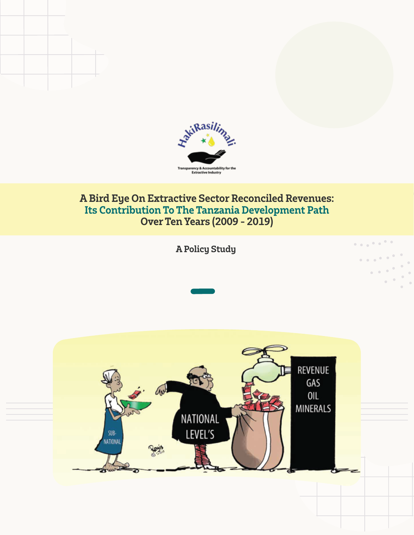

### **A Bird Eye On Extractive Sector Reconciled Revenues: Its Contribution To The Tanzania Development Path Over Ten Years (2009 - 2019)**

**A Policy Study** 

 $\begin{smallmatrix}&&&&&&&&&&&\\&\ddots&&&&&&&&&&&\\&\ddots&&&&&&&&&&&\\&&&&&&&&&&&&&\\&&&&&&&&&&&&&\\&\ddots&&&&&&&&&&&&&\\&&&&&&&&&&&&&\\&&&&&&&&&&&&&\\&\ddots&&&&&&&&&&&&&\\&&&&&&&&&&&&&&&\\&\ddots&&&&&&&&&&&&&&&\\&\ddots&&&&&&&&&&&&&&&\\&\ddots&&&&&&&&&&&&&&&\\&\ddots&&&&&&&&&&&&&&&&&\\&\ddots&&&&&&&&&&&&&&&&&&&\\&\ddots&&&&&&&&&&&&&&&&&&&\\&\ddots&&&&&&&&&&&&&&&&&&&\\&\ddots&&&&&&&&&&&&&&&&&&&&&\\&\ddots&&&&$ 

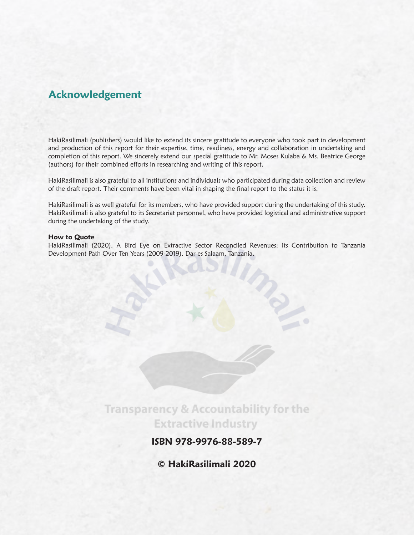### **Acknowledgement**

HakiRasilimali (publishers) would like to extend its sincere gratitude to everyone who took part in development and production of this report for their expertise, time, readiness, energy and collaboration in undertaking and completion of this report. We sincerely extend our special gratitude to Mr. Moses Kulaba & Ms. Beatrice George (authors) for their combined efforts in researching and writing of this report.

HakiRasilimali is also grateful to all institutions and individuals who participated during data collection and review of the draft report. Their comments have been vital in shaping the final report to the status it is.

HakiRasilimali is as well grateful for its members, who have provided support during the undertaking of this study. HakiRasilimali is also grateful to its Secretariat personnel, who have provided logistical and administrative support during the undertaking of the study.

#### **How to Quote**

HakiRasilimali (2020). A Bird Eye on Extractive Sector Reconciled Revenues: Its Contribution to Tanzania Development Path Over Ten Years (2009-2019). Dar es Salaam, Tanzania.

> **Transparency & Accountability for the Extractive Industry**

> > **ISBN 978-9976-88-589-7**

**© HakiRasilimali 2020**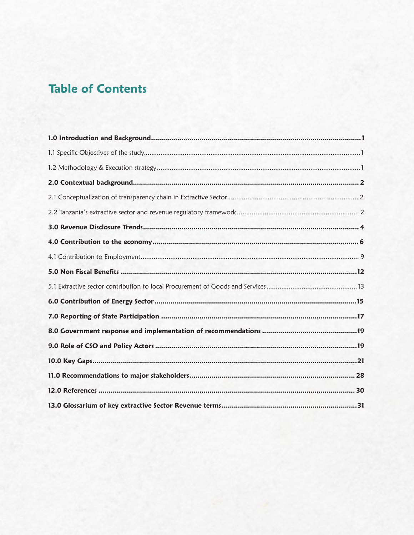# **Table of Contents**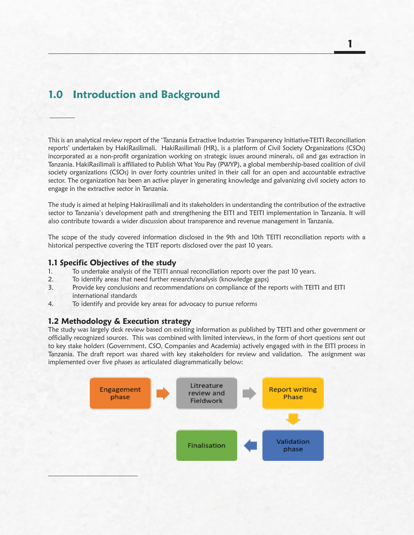### **1.0 Introduction and Background**

This is an analytical review report of the 'Tanzania Extractive Industries Transparency Initiative-TEITI Reconciliation reports' undertaken by HakiRasilimali. HakiRasilimali (HR), is a platform of Civil Society Organizations (CSOs) incorporated as a non-profit organization working on strategic issues around minerals, oil and gas extraction in Tanzania. HakiRasilimali is affiliated to Publish What You Pay (PWYP), a global membership-based coalition of civil society organizations (CSOs) in over forty countries united in their call for an open and accountable extractive sector. The organization has been an active player in generating knowledge and galvanizing civil society actors to engage in the extractive sector in Tanzania.

The study is aimed at helping Hakirasilimali and its stakeholders in understanding the contribution of the extractive sector to Tanzania's development path and strengthening the EITI and TEITI implementation in Tanzania. It will also contribute towards a wider discussion about transparence and revenue management in Tanzania.

The scope of the study covered information disclosed in the 9th and 10th TEITI reconciliation reports with a historical perspective covering the TEIT reports disclosed over the past 10 years.

#### **1.1 Specific Objectives of the study**

- 1. To undertake analysis of the TEITI annual reconciliation reports over the past 10 years.
- 2. To identify areas that need further research/analysis (knowledge gaps)
- 3. Provide key conclusions and recommendations on compliance of the reports with TEITI and EITI international standards
- 4. To identify and provide key areas for advocacy to pursue reforms

#### **1.2 Methodology & Execution strategy**

The study was largely desk review based on existing information as published by TEITI and other government or officially recognized sources. This was combined with limited interviews, in the form of short questions sent out to key stake holders (Government, CSO, Companies and Academia) actively engaged with in the EITI process in Tanzania. The draft report was shared with key stakeholders for review and validation. The assignment was implemented over five phases as articulated diagrammatically below:

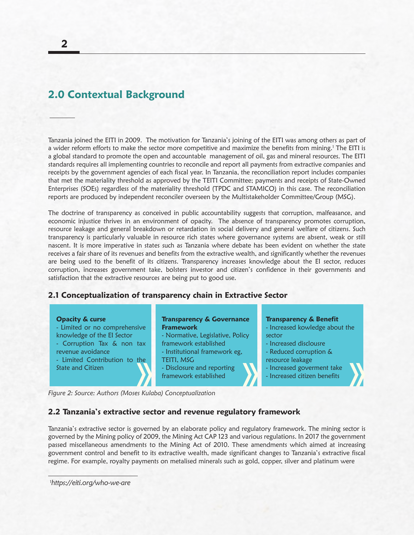### **2.0 Contextual Background**

Tanzania joined the EITI in 2009. The motivation for Tanzania's joining of the EITI was among others as part of a wider reform efforts to make the sector more competitive and maximize the benefits from mining.<sup>1</sup> The EITI is a global standard to promote the open and accountable management of oil, gas and mineral resources. The EITI standards requires all implementing countries to reconcile and report all payments from extractive companies and receipts by the government agencies of each fiscal year. In Tanzania, the reconciliation report includes companies that met the materiality threshold as approved by the TEITI Committee; payments and receipts of State-Owned Enterprises (SOEs) regardless of the materiality threshold (TPDC and STAMICO) in this case. The reconciliation reports are produced by independent reconciler overseen by the Multistakeholder Committee/Group (MSG).

The doctrine of transparency as conceived in public accountability suggests that corruption, malfeasance, and economic injustice thrives in an environment of opacity. The absence of transparency promotes corruption, resource leakage and general breakdown or retardation in social delivery and general welfare of citizens. Such transparency is particularly valuable in resource rich states where governance systems are absent, weak or still nascent. It is more imperative in states such as Tanzania where debate has been evident on whether the state receives a fair share of its revenues and benefits from the extractive wealth, and significantly whether the revenues are being used to the benefit of its citizens. Transparency increases knowledge about the EI sector, reduces corruption, increases government take, bolsters investor and citizen's confidence in their governments and satisfaction that the extractive resources are being put to good use.

#### **2.1 Conceptualization of transparency chain in Extractive Sector**

#### **Opacity & curse**

- Limited or no comprehensive knowledge of the EI Sector - Corruption Tax & non tax revenue avoidance - Limited Contribution to the
- State and Citizen

#### **Transparency & Governance Framework**

- Normative, Legislative, Policy framework established
- Institutional framework eg, TEITI, MSG
- Disclosure and reporting framework established

#### **Transparency & Benefit**

- Increased kowledge about the sector
- Increased disclousre
- Reduced corruption &
- resource leakage
- Increased goverment take
- Increased citizen benefits

*Figure 2: Source: Authors (Moses Kulaba) Conceptualization*

#### **2.2 Tanzania's extractive sector and revenue regulatory framework**

Tanzania's extractive sector is governed by an elaborate policy and regulatory framework. The mining sector is governed by the Mining policy of 2009, the Mining Act CAP 123 and various regulations. In 2017 the government passed miscellaneous amendments to the Mining Act of 2010. These amendments which aimed at increasing government control and benefit to its extractive wealth, made significant changes to Tanzania's extractive fiscal regime. For example, royalty payments on metalised minerals such as gold, copper, silver and platinum were

1 *https://eiti.org/who-we-are*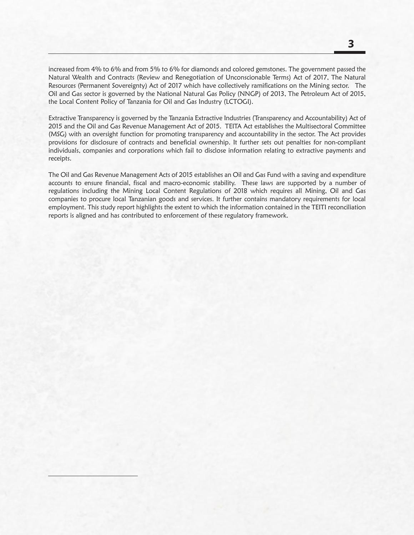**3**

increased from 4% to 6% and from 5% to 6% for diamonds and colored gemstones. The government passed the Natural Wealth and Contracts (Review and Renegotiation of Unconscionable Terms) Act of 2017, The Natural Resources (Permanent Sovereignty) Act of 2017 which have collectively ramifications on the Mining sector. The Oil and Gas sector is governed by the National Natural Gas Policy (NNGP) of 2013, The Petroleum Act of 2015, the Local Content Policy of Tanzania for Oil and Gas Industry (LCTOGI).

Extractive Transparency is governed by the Tanzania Extractive Industries (Transparency and Accountability) Act of 2015 and the Oil and Gas Revenue Management Act of 2015. TEITA Act establishes the Multisectoral Committee (MSG) with an oversight function for promoting transparency and accountability in the sector. The Act provides provisions for disclosure of contracts and beneficial ownership. It further sets out penalties for non-compliant individuals, companies and corporations which fail to disclose information relating to extractive payments and receipts.

The Oil and Gas Revenue Management Acts of 2015 establishes an Oil and Gas Fund with a saving and expenditure accounts to ensure financial, fiscal and macro-economic stability. These laws are supported by a number of regulations including the Mining Local Content Regulations of 2018 which requires all Mining, Oil and Gas companies to procure local Tanzanian goods and services. It further contains mandatory requirements for local employment. This study report highlights the extent to which the information contained in the TEITI reconciliation reports is aligned and has contributed to enforcement of these regulatory framework.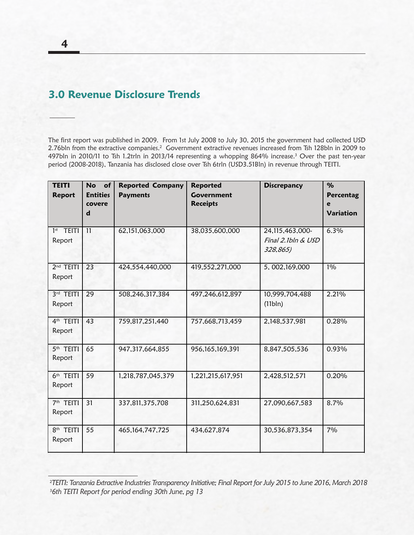### **3.0 Revenue Disclosure Trends**

The first report was published in 2009. From 1st July 2008 to July 30, 2015 the government had collected USD 2.76bln from the extractive companies.2 Government extractive revenues increased from Tsh 128bln in 2009 to 497bln in 2010/11 to Tsh 1.2trln in 2013/14 representing a whopping 864% increase.3 Over the past ten-year period (2008-2018), Tanzania has disclosed close over Tsh 6trln (USD3.51Bln) in revenue through TEITI.

| <b>TEITI</b><br><b>Report</b>   | <b>No</b><br>of<br><b>Entities</b><br>covere<br>$\mathbf d$ | <b>Reported Company</b><br><b>Payments</b> | <b>Reported</b><br><b>Government</b><br><b>Receipts</b> | <b>Discrepancy</b>                                | $\%$<br>Percentag<br>e<br><b>Variation</b> |
|---------------------------------|-------------------------------------------------------------|--------------------------------------------|---------------------------------------------------------|---------------------------------------------------|--------------------------------------------|
| $1st$ TEITI<br>Report           | 11                                                          | 62,151,063,000                             | 38,035,600,000                                          | 24,115,463,000-<br>Final 2.1bln & USD<br>328,865) | 6.3%                                       |
| $2nd$ TEITI<br>Report           | 23                                                          | 424,554,440,000                            | 419,552,271,000                                         | 5, 002, 169, 000                                  | $1\%$                                      |
| 3rd TEITI<br>Report             | $\overline{29}$                                             | 508,246,317,384                            | 497,246,612,897                                         | 10,999,704,488<br>(11bln)                         | 2.21%                                      |
| 4 <sup>th</sup> TEITI<br>Report | $\overline{43}$                                             | 759,817,251,440                            | 757,668,713,459                                         | 2,148,537,981                                     | 0.28%                                      |
| 5 <sup>th</sup> TEITI<br>Report | 65                                                          | 947, 317, 664, 855                         | 956,165,169,391                                         | 8,847,505,536                                     | 0.93%                                      |
| 6th TEITI<br>Report             | 59                                                          | 1,218,787,045,379                          | 1,221,215,617,951                                       | 2,428,512,571                                     | 0.20%                                      |
| 7 <sup>th</sup> TEITI<br>Report | 31                                                          | 337,811,375,708                            | 311,250,624,831                                         | 27,090,667,583                                    | 8.7%                                       |
| 8 <sup>th</sup> TEITI<br>Report | 55                                                          | 465, 164, 747, 725                         | 434,627,874                                             | 30,536,873,354                                    | 7%                                         |

7 SHANTA MINING COMPANY LIMITED 115,011,253,130 50,013,699,378

<sup>&</sup>lt;sup>2</sup>TEITI: Tanzania Extractive Industries Transparency Initiative; Final Report for July 2015 to June 2016, March 2018 3 *6th TEITI Report for period ending 30th June, pg 13* I Report 8 WILLIAMSON DIAMONDS LTD. 26,928,592,670 100,632,311,136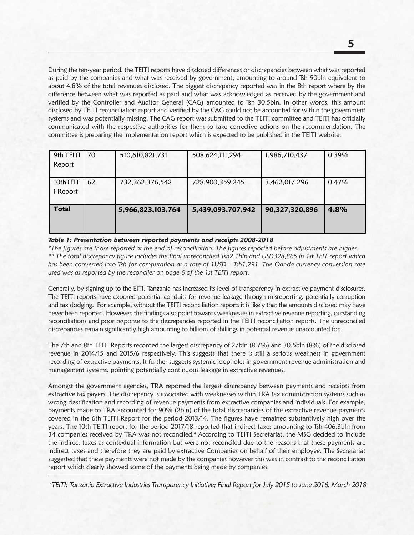During the ten-year period, the TEITI reports have disclosed differences or discrepancies between what was reported Butting the terryear period, the TETTTeports have disclosed differences or discrepancies between what was reported<br>as paid by the companies and what was received by government, amounting to around Tsh 90bln equivalent to about 4.8% of the total revenues disclosed. The biggest discrepancy reported was in the 8th report where by the difference between what was reported as paid and what was acknowledged as received by the government and verified by the Controller and Auditor General (CAG) amounted to Tsh 30.5bln. In other words, this amount disclosed by TEITI reconciliation report and verified by the CAG could not be accounted for within the government systems and was potentially missing. The CAG report was submitted to the TEITI committee and TEITI has officially communicated with the respective authorities for them to take corrective actions on the recommendation. The committee is preparing the implementation report which is expected to be published in the TEITI website.<br>'

65 947,317,664,855 956,165,169,391 8,847,505,536 0.93%

| 9th TEITI<br>Report  | 70 | 510,610,821,731   | 508,624,111,294   | 1,986,710,437  | 0.39% |
|----------------------|----|-------------------|-------------------|----------------|-------|
| 10thTEIT<br>I Report | 62 | 732,362,376,542   | 728,900,359,245   | 3,462,017,296  | 0.47% |
| <b>Total</b>         |    | 5,966,823,103,764 | 5,439,093,707,942 | 90,327,320,896 | 4.8%  |

#### *Table 1: Presentation between reported payments and receipts 2008-2018*

Report

*\*The figures are those reported at the end of reconciliation. The figures reported before adjustments are higher. \*\* The total discrepancy figure includes the final unreconciled Tsh2.1bln and USD328,865 in 1st TEIT report which has been converted into Tsh for computation at a rate of 1USD= Tsh1,291. The Oanda currency conversion rate used was as reported by the reconciler on page 6 of the 1st TEITI report.*

Generally, by signing up to the EITI, Tanzania has increased its level of transparency in extractive payment disclosures. The TEITI reports have exposed potential conduits for revenue leakage through misreporting, potentially corruption and tax dodging. For example, without the TEITI reconciliation reports it is likely that the amounts disclosed may have never been reported. However, the findings also point towards weaknesses in extractive revenue reporting, outstanding reconciliations and poor response to the discrepancies reported in the TEITI reconciliation reports. The unreconciled discrepancies remain significantly high amounting to billions of shillings in potential revenue unaccounted for.

The 7th and 8th TEITI Reports recorded the largest discrepancy of 27bln (8.7%) and 30.5bln (8%) of the disclosed revenue in 2014/15 and 2015/6 respectively. This suggests that there is still a serious weakness in government recording of extractive payments. It further suggests systemic loopholes in government revenue administration and management systems, pointing potentially continuous leakage in extractive revenues.

Amongst the government agencies, TRA reported the largest discrepancy between payments and receipts from extractive tax payers. The discrepancy is associated with weaknesses within TRA tax administration systems such as wrong classification and recording of revenue payments from extractive companies and individuals. For example, payments made to TRA accounted for 90% (2bln) of the total discrepancies of the extractive revenue payments covered in the 6th TEITI Report for the period 2013/14. The figures have remained substantively high over the years. The 10th TEITI report for the period 2017/18 reported that indirect taxes amounting to Tsh 406.3bln from 34 companies received by TRA was not reconciled.<sup>4</sup> According to TEITI Secretariat, the MSG decided to include the indirect taxes as contextual information but were not reconciled due to the reasons that these payments are indirect taxes and therefore they are paid by extractive Companies on behalf of their employee. The Secretariat suggested that these payments were not made by the companies however this was in contrast to the reconciliation report which clearly showed some of the payments being made by companies.

<sup>4</sup> *TEITI: Tanzania Extractive Industries Transparency Initiative; Final Report for July 2015 to June 2016, March 2018*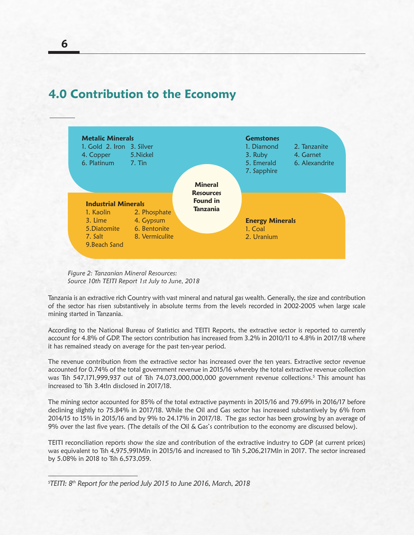



*Figure 2: Tanzanian Mineral Resources: Source 10th TEITI Report 1st July to June, 2018*

Tanzania is an extractive rich Country with vast mineral and natural gas wealth. Generally, the size and contribution of the sector has risen substantively in absolute terms from the levels recorded in 2002-2005 when large scale mining started in Tanzania.

According to the National Bureau of Statistics and TEITI Reports, the extractive sector is reported to currently account for 4.8% of GDP. The sectors contribution has increased from 3.2% in 2010/11 to 4.8% in 2017/18 where it has remained steady on average for the past ten-year period.

The revenue contribution from the extractive sector has increased over the ten years. Extractive sector revenue accounted for 0.74% of the total government revenue in 2015/16 whereby the total extractive revenue collection was Tsh 547,171,999,937 out of Tsh 74,073,000,000,000 government revenue collections.5 This amount has increased to Tsh 3.4tln disclosed in 2017/18.

The mining sector accounted for 85% of the total extractive payments in 2015/16 and 79.69% in 2016/17 before declining slightly to 75.84% in 2017/18. While the Oil and Gas sector has increased substantively by 6% from 2014/15 to 15% in 2015/16 and by 9% to 24.17% in 2017/18. The gas sector has been growing by an average of 9% over the last five years. (The details of the Oil & Gas's contribution to the economy are discussed below).

TEITI reconciliation reports show the size and contribution of the extractive industry to GDP (at current prices) was equivalent to Tsh 4,975,991Mln in 2015/16 and increased to Tsh 5,206,217Mln in 2017. The sector increased by 5.08% in 2018 to Tsh 6,573,059.

<sup>5</sup> *TEITI: 8th Report for the period July 2015 to June 2016, March, 2018*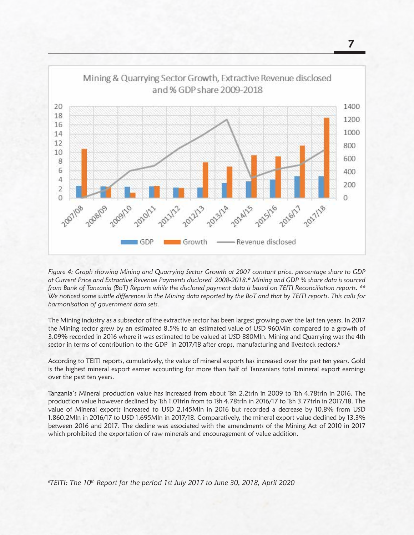

*Figure 4: Graph showing Mining and Quarrying Sector Growth at 2007 constant price, percentage share to GDP at Current Price and Extractive Revenue Payments disclosed 2008-2018.\* Mining and GDP % share data is sourced from Bank of Tanzania (BoT) Reports while the disclosed payment data is based on TEITI Reconciliation reports. \*\* We noticed some subtle differences in the Mining data reported by the BoT and that by TEITI reports. This calls for harmonisation of government data sets.*

The Mining industry as a subsector of the extractive sector has been largest growing over the last ten years. In 2017 the Mining sector grew by an estimated 8.5% to an estimated value of USD 960Mln compared to a growth of 3.09% recorded in 2016 where it was estimated to be valued at USD 880Mln. Mining and Quarrying was the 4th sector in terms of contribution to the GDP in 2017/18 after crops, manufacturing and livestock sectors.<sup>6</sup>

According to TEITI reports, cumulatively, the value of mineral exports has increased over the past ten years. Gold is the highest mineral export earner accounting for more than half of Tanzanians total mineral export earnings over the past ten years.

Tanzania's Mineral production value has increased from about Tsh 2.2trln in 2009 to Tsh 4.78trln in 2016. The production value however declined by Tsh 1.01trln from to Tsh 4.78trln in 2016/17 to Tsh 3.77trln in 2017/18. The value of Mineral exports increased to USD 2,145Mln in 2016 but recorded a decrease by 10.8% from USD 1.860.2Mln in 2016/17 to USD 1.695Mln in 2017/18. Comparatively, the mineral export value declined by 13.3% between 2016 and 2017. The decline was associated with the amendments of the Mining Act of 2010 in 2017 which prohibited the exportation of raw minerals and encouragement of value addition.

<sup>6</sup> *TEITI: The 10th Report for the period 1st July 2017 to June 30, 2018, April 2020*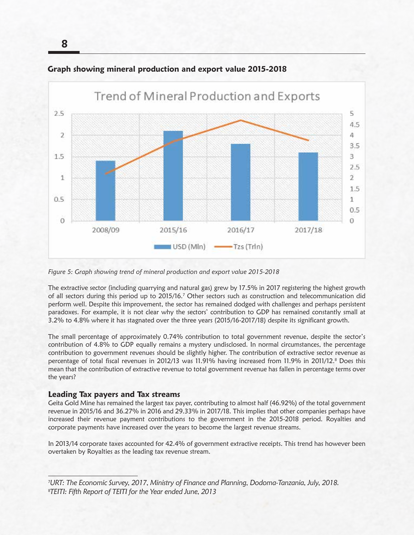

#### **Graph showing mineral production and export value 2015-2018**

*Figure 5: Graph showing trend of mineral production and export value 2015-2018*

The extractive sector (including quarrying and natural gas) grew by 17.5% in 2017 registering the highest growth of all sectors during this period up to 2015/16.<sup>7</sup> Other sectors such as construction and telecommunication did perform well. Despite this improvement, the sector has remained dodged with challenges and perhaps persistent paradoxes. For example, it is not clear why the sectors' contribution to GDP has remained constantly small at 3.2% to 4.8% where it has stagnated over the three years (2015/16-2017/18) despite its significant growth.

The small percentage of approximately 0.74% contribution to total government revenue, despite the sector's contribution of 4.8% to GDP equally remains a mystery undisclosed. In normal circumstances, the percentage contribution to government revenues should be slightly higher. The contribution of extractive sector revenue as percentage of total fiscal revenues in 2012/13 was 11.91% having increased from 11.9% in 2011/12.<sup>8</sup> Does this mean that the contribution of extractive revenue to total government revenue has fallen in percentage terms over the years?

#### **Leading Tax payers and Tax streams**

Geita Gold Mine has remained the largest tax payer, contributing to almost half (46.92%) of the total government revenue in 2015/16 and 36.27% in 2016 and 29.33% in 2017/18. This implies that other companies perhaps have increased their revenue payment contributions to the government in the 2015-2018 period. Royalties and corporate payments have increased over the years to become the largest revenue streams.

In 2013/14 corporate taxes accounted for 42.4% of government extractive receipts. This trend has however been overtaken by Royalties as the leading tax revenue stream.

7 *URT: The Economic Survey, 2017, Ministry of Finance and Planning, Dodoma-Tanzania, July, 2018.* 8 *TEITI: Fifth Report of TEITI for the Year ended June, 2013*

**8**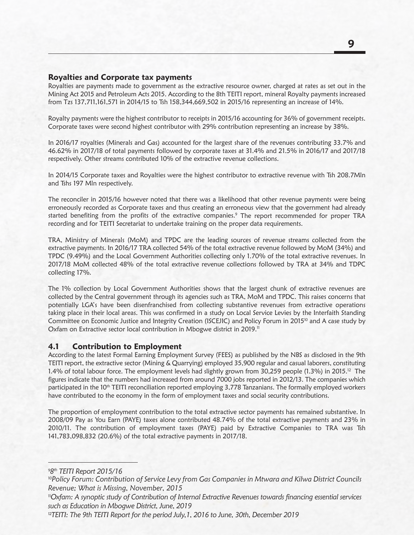#### **Royalties and Corporate tax payments**

Royalties are payments made to government as the extractive resource owner, charged at rates as set out in the Mining Act 2015 and Petroleum Acts 2015. According to the 8th TEITI report, mineral Royalty payments increased from Tzs 137,711,161,571 in 2014/15 to Tsh 158,344,669,502 in 2015/16 representing an increase of 14%.

Royalty payments were the highest contributor to receipts in 2015/16 accounting for 36% of government receipts. Corporate taxes were second highest contributor with 29% contribution representing an increase by 38%.

In 2016/17 royalties (Minerals and Gas) accounted for the largest share of the revenues contributing 33.7% and 46.62% in 2017/18 of total payments followed by corporate taxes at 31.4% and 21.5% in 2016/17 and 2017/18 respectively. Other streams contributed 10% of the extractive revenue collections.

In 2014/15 Corporate taxes and Royalties were the highest contributor to extractive revenue with Tsh 208.7Mln and Tshs 197 Mln respectively.

The reconciler in 2015/16 however noted that there was a likelihood that other revenue payments were being erroneously recorded as Corporate taxes and thus creating an erroneous view that the government had already started benefiting from the profits of the extractive companies.<sup>9</sup> The report recommended for proper TRA recording and for TEITI Secretariat to undertake training on the proper data requirements.

TRA, Ministry of Minerals (MoM) and TPDC are the leading sources of revenue streams collected from the extractive payments. In 2016/17 TRA collected 54% of the total extractive revenue followed by MoM (34%) and TPDC (9.49%) and the Local Government Authorities collecting only 1.70% of the total extractive revenues. In 2017/18 MoM collected 48% of the total extractive revenue collections followed by TRA at 34% and TDPC collecting 17%.

The 1% collection by Local Government Authorities shows that the largest chunk of extractive revenues are collected by the Central government through its agencies such as TRA, MoM and TPDC. This raises concerns that potentially LGA's have been disenfranchised from collecting substantive revenues from extractive operations taking place in their local areas. This was confirmed in a study on Local Service Levies by the Interfaith Standing Committee on Economic Justice and Integrity Creation (ISCEJIC) and Policy Forum in 2015<sup>10</sup> and A case study by Oxfam on Extractive sector local contribution in Mbogwe district in 2019.<sup>11</sup>

#### **4.1 Contribution to Employment**

According to the latest Formal Earning Employment Survey (FEES) as published by the NBS as disclosed in the 9th TEITI report, the extractive sector (Mining & Quarrying) employed 35,900 regular and casual laborers, constituting 1.4% of total labour force. The employment levels had slightly grown from 30,259 people (1.3%) in 2015.<sup>12</sup> The figures indicate that the numbers had increased from around 7000 jobs reported in 2012/13. The companies which participated in the 10<sup>th</sup> TEITI reconciliation reported employing 3,778 Tanzanians. The formally employed workers have contributed to the economy in the form of employment taxes and social security contributions.

The proportion of employment contribution to the total extractive sector payments has remained substantive. In 2008/09 Pay as You Earn (PAYE) taxes alone contributed 48.74% of the total extractive payments and 23% in 2010/11. The contribution of employment taxes (PAYE) paid by Extractive Companies to TRA was Tsh 141,783,098,832 (20.6%) of the total extractive payments in 2017/18.

9 *8th TEITI Report 2015/16*

<sup>12</sup>TEITI: The 9th TEITI Report for the period July, 1, 2016 to June, 30th, December 2019

<sup>10</sup>*Policy Forum: Contribution of Service Levy from Gas Companies in Mtwara and Kilwa District Councils Revenue; What is Missing, November, 2015*

<sup>11</sup>*Oxfam: A synoptic study of Contribution of Internal Extractive Revenues towards financing essential services such as Education in Mbogwe District, June, 2019*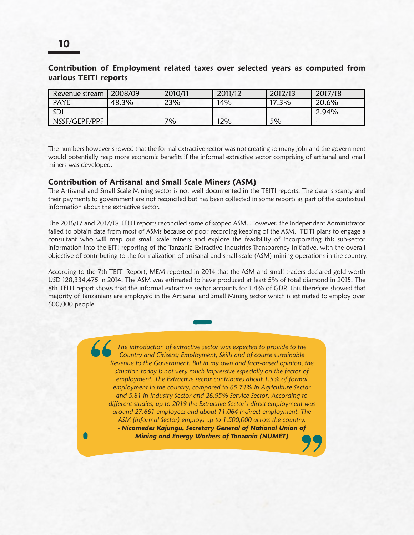#### **Contribution of Employment related taxes over selected years as computed from various TEITI reports**

| Revenue stream | 2008/09 | 2010/11 | 2011/12 | 2012/13 | 2017/18 |
|----------------|---------|---------|---------|---------|---------|
| <b>PAYE</b>    | 48.3%   | 23%     | 14%     | 17.3%   | 20.6%   |
| SDL            |         |         |         |         | 2.94%   |
| NSSF/GEPF/PPF  |         | 70/0    | 12%     | 5%      |         |

The numbers however showed that the formal extractive sector was not creating so many jobs and the government would potentially reap more economic benefits if the informal extractive sector comprising of artisanal and small miners was developed.

#### **Contribution of Artisanal and Small Scale Miners (ASM)**

The Artisanal and Small Scale Mining sector is not well documented in the TEITI reports. The data is scanty and their payments to government are not reconciled but has been collected in some reports as part of the contextual information about the extractive sector.

The 2016/17 and 2017/18 TEITI reports reconciled some of scoped ASM. However, the Independent Administrator failed to obtain data from most of ASMs because of poor recording keeping of the ASM. TEITI plans to engage a consultant who will map out small scale miners and explore the feasibility of incorporating this sub-sector information into the EITI reporting of the Tanzania Extractive Industries Transparency Initiative, with the overall objective of contributing to the formalization of artisanal and small-scale (ASM) mining operations in the country.

According to the 7th TEITI Report, MEM reported in 2014 that the ASM and small traders declared gold worth USD 128,334,475 in 2014. The ASM was estimated to have produced at least 5% of total diamond in 2015. The 8th TEITI report shows that the informal extractive sector accounts for 1.4% of GDP. This therefore showed that majority of Tanzanians are employed in the Artisanal and Small Mining sector which is estimated to employ over 600,000 people.

> *The introduction of extractive sector was expected to provide to the Country and Citizens; Employment, Skills and of course sustainable Revenue to the Government. But in my own and facts-based opinion, the situation today is not very much impressive especially on the factor of employment. The Extractive sector contributes about 1.5% of formal employment in the country, compared to 65.74% in Agriculture Sector and 5.81 in Industry Sector and 26.95% Service Sector. According to different studies, up to 2019 the Extractive Sector's direct employment was around 27,661 employees and about 11,064 indirect employment. The ASM (Informal Sector) employs up to 1,500,000 across the country. - Nicomedes Kajungu, Secretary General of National Union of Mining and Energy Workers of Tanzania (NUMET)*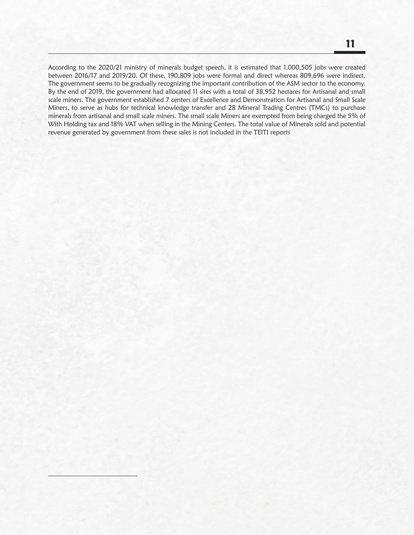According to the 2020/21 ministry of minerals budget speech, it is estimated that 1,000,505 jobs were created between 2016/17 and 2019/20. Of these, 190,809 jobs were formal and direct whereas 809,696 were indirect. The government seems to be gradually recognizing the important contribution of the ASM sector to the economy. By the end of 2019, the government had allocated 11 sites with a total of 38,952 hectares for Artisanal and small scale miners. The government established 7 centers of Excellence and Demonstration for Artisanal and Small Scale Miners, to serve as hubs for technical knowledge transfer and 28 Mineral Trading Centres (TMCs) to purchase minerals from artisanal and small scale miners. The small scale Miners are exempted from being charged the 5% of With Holding tax and 18% VAT when selling in the Mining Centers. The total value of Minerals sold and potential revenue generated by government from these sales is not included in the TEITI reports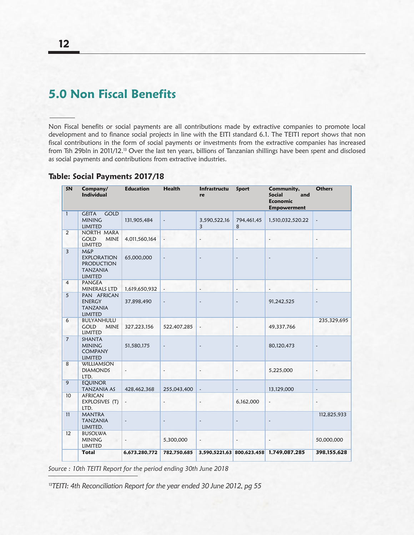# **5.0 Non Fiscal Benefits**

Non Fiscal benefits or social payments are all contributions made by extractive companies to promote local development and to finance social projects in line with the EITI standard 6.1. The TEITI report shows that non fiscal contributions in the form of social payments or investments from the extractive companies has increased from Tsh 29bln in 2011/12.13 Over the last ten years, billions of Tanzanian shillings have been spent and disclosed as social payments and contributions from extractive industries.

#### **Table: Social Payments 2017/18**

| SN             | Company/<br><b>Individual</b>                                                           | <b>Education</b>         | <b>Health</b>            | Infrastructu<br>re       | Sport                    | Community,<br><b>Social</b><br>and<br><b>Economic</b><br><b>Empowerment</b> | <b>Others</b>            |
|----------------|-----------------------------------------------------------------------------------------|--------------------------|--------------------------|--------------------------|--------------------------|-----------------------------------------------------------------------------|--------------------------|
| $\mathbf{1}$   | <b>GOLD</b><br><b>GEITA</b><br><b>MINING</b><br>LIMITED                                 | 131,905,484              | $\blacksquare$           | 3,590,522,16<br>3        | 794,461,45<br>8          | 1,510,032,520.22                                                            |                          |
| $\overline{2}$ | NORTH MARA<br><b>GOLD</b><br><b>MINE</b><br>LIMITED                                     | 4,011,560,164            |                          | $\overline{\phantom{a}}$ | $\overline{\phantom{a}}$ | $\overline{\phantom{a}}$                                                    | $\overline{\phantom{a}}$ |
| $\overline{3}$ | <b>M&amp;P</b><br><b>EXPLORATION</b><br><b>PRODUCTION</b><br>TANZANIA<br><b>LIMITED</b> | 65,000,000               | $\overline{\phantom{a}}$ | $\overline{\phantom{a}}$ | $\overline{a}$           |                                                                             |                          |
| $\overline{4}$ | <b>PANGEA</b><br><b>MINERALS LTD</b>                                                    | 1,619,650,932            | $\blacksquare$           | $\frac{1}{2}$            | $\frac{1}{2}$            |                                                                             |                          |
| $\overline{5}$ | PAN AFRICAN<br><b>ENERGY</b><br><b>TANZANIA</b><br>LIMITED                              | 37,898,490               | $\overline{\phantom{a}}$ | $\overline{\phantom{a}}$ | $\frac{1}{2}$            | 91,242,525                                                                  | $\tilde{\phantom{a}}$    |
| 6              | BULYANHULU<br><b>GOLD</b><br><b>MINE</b><br>LIMITED                                     | 327,223,156              | 522,407,285              | $\overline{\phantom{a}}$ | $\overline{\phantom{a}}$ | 49,337,766                                                                  | 235,329,695              |
| $\overline{7}$ | SHANTA<br><b>MINING</b><br><b>COMPANY</b><br><b>LIMITED</b>                             | 51,580,175               | $\blacksquare$           | $\overline{\phantom{a}}$ | $\blacksquare$           | 80,120,473                                                                  |                          |
| 8              | <b>WILLIAMSON</b><br><b>DIAMONDS</b><br>LTD.                                            |                          | $\overline{\phantom{a}}$ | $\tilde{\phantom{a}}$    | $\blacksquare$           | 5,225,000                                                                   |                          |
| $\overline{9}$ | <b>EOUINOR</b><br>TANZANIA AS                                                           | 428,462,368              | 255,043,400              |                          | $\overline{a}$           | 13,129,000                                                                  |                          |
| 10             | <b>AFRICAN</b><br>EXPLOSIVES (T)<br>LTD.                                                | $\overline{\phantom{a}}$ | $\overline{\phantom{a}}$ | $\overline{a}$           | 6,162,000                | $\overline{\phantom{a}}$                                                    |                          |
| 11             | <b>MANTRA</b><br><b>TANZANIA</b><br>LIMITED.                                            | $\overline{a}$           | $\overline{\phantom{a}}$ | $\overline{a}$           | $\overline{a}$           |                                                                             | 112,825,933              |
| 12             | <b>BUSOLWA</b><br><b>MINING</b><br>LIMITED                                              |                          | 5,300,000                | $\overline{\phantom{a}}$ | $\sim$                   |                                                                             | 50,000,000               |
|                | <b>Total</b>                                                                            | 6,673,280,772            | 782,750,685              |                          |                          | 3,590,5221,63 800,623,458 1,749,087,285                                     | 398,155,628              |

*Source : 10th TEITI Report for the period ending 30th June 2018*

<sup>13</sup>*TEITI: 4th Reconciliation Report for the year ended 30 June 2012, pg 55*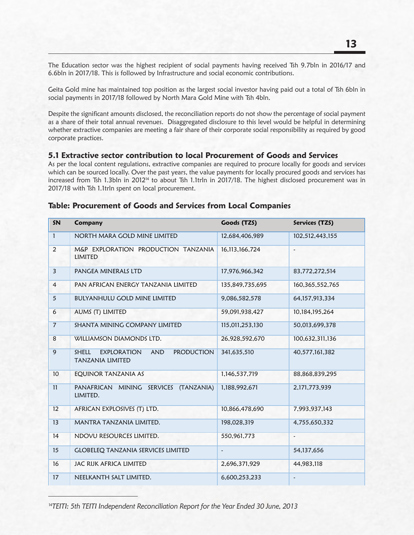The Education sector was the highest recipient of social payments having received Tsh 9.7bln in 2016/17 and 6.6bln in 2017/18. This is followed by Infrastructure and social economic contributions.

Geita Gold mine has maintained top position as the largest social investor having paid out a total of Tsh 6bln in social payments in 2017/18 followed by North Mara Gold Mine with Tsh 4bln.

Despite the significant amounts disclosed, the reconciliation reports do not show the percentage of social payment as a share of their total annual revenues. Disaggregated disclosure to this level would be helpful in determining whether extractive companies are meeting a fair share of their corporate social responsibility as required by good corporate practices.

#### **5.1 Extractive sector contribution to local Procurement of Goods and Services**

As per the local content regulations, extractive companies are required to procure locally for goods and services which can be sourced locally. Over the past years, the value payments for locally procured goods and services has increased from Tsh 1.3bln in 2012<sup>14</sup> to about Tsh 1.1trln in 2017/18. The highest disclosed procurement was in 2017/18 with Tsh 1.1trln spent on local procurement.

| SN              | <b>Company</b>                                                                                   | Goods (TZS)              | Services (TZS)        |
|-----------------|--------------------------------------------------------------------------------------------------|--------------------------|-----------------------|
| $\mathbf{1}$    | NORTH MARA GOLD MINE LIMITED                                                                     | 12,684,406,989           | 102,512,443,155       |
| 2               | M&P EXPLORATION PRODUCTION TANZANIA<br>LIMITED                                                   | 16, 113, 166, 724        | $\tilde{\phantom{a}}$ |
| $\overline{3}$  | PANGEA MINERALS LTD                                                                              | 17,976,966,342           | 83,772,272,514        |
| $\overline{4}$  | PAN AFRICAN ENERGY TANZANIA LIMITED                                                              | 135,849,735,695          | 160, 365, 552, 765    |
| 5               | <b>BULYANHULU GOLD MINE LIMITED</b>                                                              | 9.086.582.578            | 64, 157, 913, 334     |
| 6               | AUMS (T) LIMITED                                                                                 | 59,091,938,427           | 10,184,195,264        |
| $\overline{7}$  | SHANTA MINING COMPANY LIMITED                                                                    | 115,011,253,130          | 50,013,699,378        |
| 8               | WILLIAMSON DIAMONDS LTD.                                                                         | 26,928,592,670           | 100,632,311,136       |
| 9               | <b>SHELL</b><br><b>EXPLORATION</b><br><b>AND</b><br><b>PRODUCTION</b><br><b>TANZANIA LIMITED</b> | 341,635,510              | 40,577,161,382        |
| 10 <sup>°</sup> | EQUINOR TANZANIA AS                                                                              | 1,146,537,719            | 88, 868, 839, 295     |
| 11              | PANAFRICAN MINING SERVICES (TANZANIA)<br>LIMITED.                                                | 1,188,992,671            | 2,171,773,939         |
| 12              | AFRICAN EXPLOSIVES (T) LTD.                                                                      | 10,866,478,690           | 7,993,937,143         |
| 13              | MANTRA TANZANIA LIMITED.                                                                         | 198,028,319              | 4,755,650,332         |
| 14              | NDOVU RESOURCES LIMITED.                                                                         | 550,961,773              | $\tilde{\phantom{a}}$ |
| 15              | <b>GLOBELEQ TANZANIA SERVICES LIMITED</b>                                                        | $\overline{\phantom{a}}$ | 54,137,656            |
| 16              | <b>JAC RIJK AFRICA LIMITED</b>                                                                   | 2,696,371,929            | 44,983,118            |
| 17              | NEELKANTH SALT LIMITED.                                                                          | 6,600,253,233            |                       |

#### **Table: Procurement of Goods and Services from Local Companies**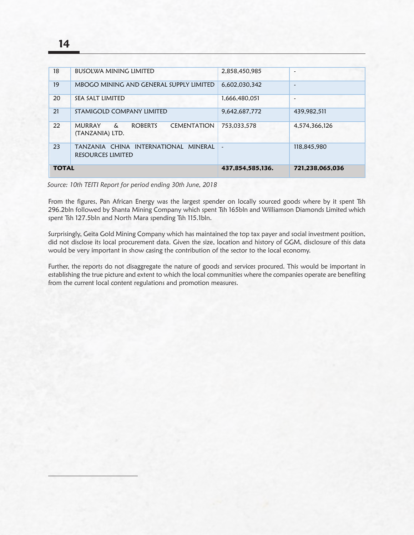| <b>TOTAL</b> |                                                                                | 437,854,585,136.     | 721,238,065,036 |
|--------------|--------------------------------------------------------------------------------|----------------------|-----------------|
| 23           | TANZANIA CHINA INTERNATIONAL MINERAL<br>RESOURCES LIMITED                      | $\ddot{\phantom{0}}$ | 118,845,980     |
| 22           | <b>MURRAY</b><br><b>ROBERTS</b><br><b>CEMENTATION</b><br>&.<br>(TANZANIA) LTD. | 753.033.578          | 4,574,366,126   |
| 21           | STAMIGOLD COMPANY LIMITED                                                      | 9.642.687.772        | 439.982.511     |
| 20           | SEA SALT LIMITED                                                               | 1.666.480.051        | -               |
| 19           | MBOGO MINING AND GENERAL SUPPLY LIMITED                                        | 6.602.030.342        | ٠               |
| 18           | <b>BUSOLWA MINING LIMITED</b>                                                  | 2.858.450.985        |                 |

### ! *Source: 10th TEITI Report for period ending 30th June, 2018*

From the figures, Pan African Energy was the largest spender on locally sourced goods where by it spent Tsh 296.2bln followed by Shanta Mining Company which spent Tsh 165bln and Williamson Diamonds Limited which spent Tsh 127.5bln and North Mara spending Tsh 115.1bln.

Surprisingly, Geita Gold Mining Company which has maintained the top tax payer and social investment position, did not disclose its local procurement data. Given the size, location and history of GGM, disclosure of this data would be very important in show casing the contribution of the sector to the local economy.

Further, the reports do not disaggregate the nature of goods and services procured. This would be important in establishing the true picture and extent to which the local communities where the companies operate are benefiting from the current local content regulations and promotion measures.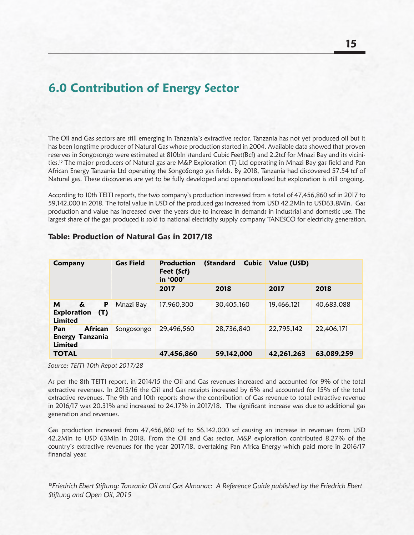# **6.0 Contribution of Energy Sector**

The Oil and Gas sectors are still emerging in Tanzania's extractive sector. Tanzania has not yet produced oil but it has been longtime producer of Natural Gas whose production started in 2004. Available data showed that proven reserves in Songosongo were estimated at 810bln standard Cubic Feet(Bcf) and 2.2tcf for Mnazi Bay and its vicinities.15 The major producers of Natural gas are M&P Exploration (T) Ltd operating in Mnazi Bay gas field and Pan African Energy Tanzania Ltd operating the SongoSongo gas fields. By 2018, Tanzania had discovered 57.54 tcf of Natural gas. These discoveries are yet to be fully developed and operationalized but exploration is still ongoing.

According to 10th TEITI reports, the two company's production increased from a total of 47,456,860 scf in 2017 to 59,142,000 in 2018. The total value in USD of the produced gas increased from USD 42.2Mln to USD63.8Mln. Gas production and value has increased over the years due to increase in demands in industrial and domestic use. The largest share of the gas produced is sold to national electricity supply company TANESCO for electricity generation.

| Company                                                           | <b>Gas Field</b> | (Standard<br><b>Production</b><br>Feet (Scf)<br>in '000' |            | <b>Cubic Value</b> (USD) |            |
|-------------------------------------------------------------------|------------------|----------------------------------------------------------|------------|--------------------------|------------|
|                                                                   |                  | 2017                                                     | 2018       | 2017                     | 2018       |
| P<br>M<br>&.<br>Exploration (T)<br>Limited                        | Mnazi Bay        | 17,960,300                                               | 30,405,160 | 19,466,121               | 40,683,088 |
| <b>African</b><br>Pan<br><b>Energy Tanzania</b><br><b>Limited</b> | Songosongo       | 29,496,560                                               | 28,736,840 | 22,795,142               | 22,406,171 |
| <b>TOTAL</b>                                                      |                  | 47,456,860                                               | 59,142,000 | 42,261,263               | 63,089,259 |

#### **Table: Production of Natural Gas in 2017/18**

*Source: TEITI 10th Repot 2017/28*

As per the 8th TEITI report, in 2014/15 the Oil and Gas revenues increased and accounted for 9% of the total extractive revenues. In 2015/16 the Oil and Gas receipts increased by 6% and accounted for 15% of the total extractive revenues. The 9th and 10th reports show the contribution of Gas revenue to total extractive revenue in 2016/17 was 20.31% and increased to 24.17% in 2017/18. The significant increase was due to additional gas generation and revenues.

Gas production increased from 47,456,860 scf to 56,142,000 scf causing an increase in revenues from USD 42.2Mln to USD 63Mln in 2018. From the Oil and Gas sector, M&P exploration contributed 8.27% of the country's extractive revenues for the year 2017/18, overtaking Pan Africa Energy which paid more in 2016/17 financial year.

<sup>15</sup>*Friedrich Ebert Stiftung: Tanzania Oil and Gas Almanac: A Reference Guide published by the Friedrich Ebert Stiftung and Open Oil, 2015*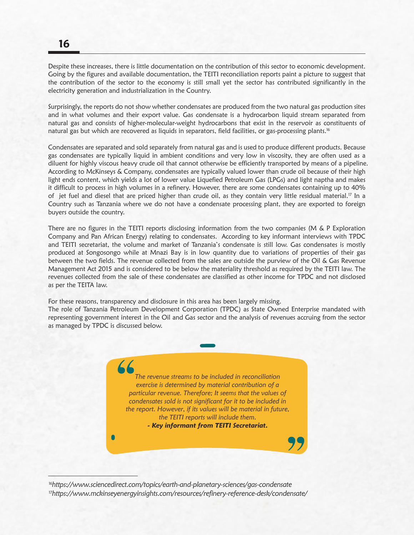Despite these increases, there is little documentation on the contribution of this sector to economic development. Going by the figures and available documentation, the TEITI reconciliation reports paint a picture to suggest that the contribution of the sector to the economy is still small yet the sector has contributed significantly in the electricity generation and industrialization in the Country.

Surprisingly, the reports do not show whether condensates are produced from the two natural gas production sites and in what volumes and their export value. Gas condensate is a hydrocarbon liquid stream separated from natural gas and consists of higher-molecular-weight hydrocarbons that exist in the reservoir as constituents of natural gas but which are recovered as liquids in separators, field facilities, or gas-processing plants.<sup>16</sup>

Condensates are separated and sold separately from natural gas and is used to produce different products. Because gas condensates are typically liquid in ambient conditions and very low in viscosity, they are often used as a diluent for highly viscous heavy crude oil that cannot otherwise be efficiently transported by means of a pipeline. According to McKinseys & Company, condensates are typically valued lower than crude oil because of their high light ends content, which yields a lot of lower value Liquefied Petroleum Gas (LPGs) and light naptha and makes it difficult to process in high volumes in a refinery. However, there are some condensates containing up to 40% of jet fuel and diesel that are priced higher than crude oil, as they contain very little residual material.<sup>17</sup> In a Country such as Tanzania where we do not have a condensate processing plant, they are exported to foreign buyers outside the country.

There are no figures in the TEITI reports disclosing information from the two companies (M & P Exploration Company and Pan African Energy) relating to condensates. According to key informant interviews with TPDC and TEITI secretariat, the volume and market of Tanzania's condensate is still low. Gas condensates is mostly produced at Songosongo while at Mnazi Bay is in low quantity due to variations of properties of their gas between the two fields. The revenue collected from the sales are outside the purview of the Oil & Gas Revenue Management Act 2015 and is considered to be below the materiality threshold as required by the TEITI law. The revenues collected from the sale of these condensates are classified as other income for TPDC and not disclosed as per the TEITA law.

For these reasons, transparency and disclosure in this area has been largely missing.

The role of Tanzania Petroleum Development Corporation (TPDC) as State Owned Enterprise mandated with representing government interest in the Oil and Gas sector and the analysis of revenues accruing from the sector as managed by TPDC is discussed below.

> *The revenue streams to be included in reconciliation exercise is determined by material contribution of a particular revenue. Therefore; It seems that the values of condensates sold is not significant for it to be included in the report. However, if its values will be material in future, the TEITI reports will include them.*

*- Key informant from TEITI Secretariat.*

 $\bullet$ 

<sup>16</sup>*https://www.sciencedirect.com/topics/earth-and-planetary-sciences/gas-condensate* <sup>17</sup>*https://www.mckinseyenergyinsights.com/resources/refinery-reference-desk/condensate/*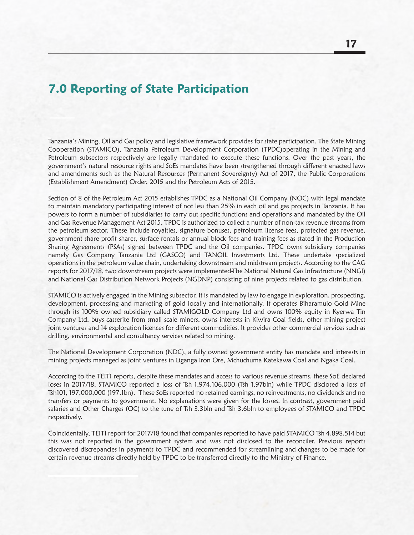## **7.0 Reporting of State Participation**

Tanzania's Mining, Oil and Gas policy and legislative framework provides for state participation. The State Mining Cooperation (STAMICO), Tanzania Petroleum Development Corporation (TPDC)operating in the Mining and Petroleum subsectors respectively are legally mandated to execute these functions. Over the past years, the government's natural resource rights and SoEs mandates have been strengthened through different enacted laws and amendments such as the Natural Resources (Permanent Sovereignty) Act of 2017, the Public Corporations (Establishment Amendment) Order, 2015 and the Petroleum Acts of 2015.

Section of 8 of the Petroleum Act 2015 establishes TPDC as a National Oil Company (NOC) with legal mandate to maintain mandatory participating interest of not less than 25% in each oil and gas projects in Tanzania. It has powers to form a number of subsidiaries to carry out specific functions and operations and mandated by the Oil and Gas Revenue Management Act 2015, TPDC is authorized to collect a number of non-tax revenue streams from the petroleum sector. These include royalties, signature bonuses, petroleum license fees, protected gas revenue, government share profit shares, surface rentals or annual block fees and training fees as stated in the Production Sharing Agreements (PSAs) signed between TPDC and the Oil companies. TPDC owns subsidiary companies namely Gas Company Tanzania Ltd (GASCO) and TANOIL Investments Ltd. These undertake specialized operations in the petroleum value chain, undertaking downstream and midstream projects. According to the CAG reports for 2017/18, two downstream projects were implemented-The National Natural Gas Infrastructure (NNGI) and National Gas Distribution Network Projects (NGDNP) consisting of nine projects related to gas distribution.

STAMICO is actively engaged in the Mining subsector. It is mandated by law to engage in exploration, prospecting, development, processing and marketing of gold locally and internationally. It operates Biharamulo Gold Mine through its 100% owned subsidiary called STAMIGOLD Company Ltd and owns 100% equity in Kyerwa Tin Company Ltd, buys casserite from small scale miners, owns interests in Kiwira Coal fields, other mining project joint ventures and 14 exploration licences for different commodities. It provides other commercial services such as drilling, environmental and consultancy services related to mining.

The National Development Corporation (NDC), a fully owned government entity has mandate and interests in mining projects managed as joint ventures in Liganga Iron Ore, Mchuchuma Katekawa Coal and Ngaka Coal.

According to the TEITI reports, despite these mandates and access to various revenue streams, these SoE declared loses in 2017/18. STAMICO reported a loss of Tsh 1,974,106,000 (Tsh 1.97bln) while TPDC disclosed a loss of Tsh101, 197,000,000 (197.1bn). These SoEs reported no retained earnings, no reinvestments, no dividends and no transfers or payments to government. No explanations were given for the losses. In contrast, government paid salaries and Other Charges (OC) to the tune of Tsh 3.3bln and Tsh 3.6bln to employees of STAMICO and TPDC respectively.

Coincidentally, TEITI report for 2017/18 found that companies reported to have paid STAMICO Tsh 4,898,514 but this was not reported in the government system and was not disclosed to the reconciler. Previous reports discovered discrepancies in payments to TPDC and recommended for streamlining and changes to be made for certain revenue streams directly held by TPDC to be transferred directly to the Ministry of Finance.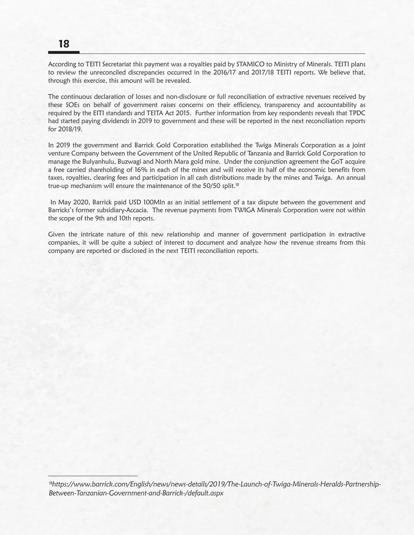### **18**

According to TEITI Secretariat this payment was a royalties paid by STAMICO to Ministry of Minerals. TEITI plans to review the unreconciled discrepancies occurred in the 2016/17 and 2017/18 TEITI reports. We believe that, through this exercise, this amount will be revealed.

The continuous declaration of losses and non-disclosure or full reconciliation of extractive revenues received by these SOEs on behalf of government raises concerns on their efficiency, transparency and accountability as required by the EITI standards and TEITA Act 2015. Further information from key respondents reveals that TPDC had started paying dividends in 2019 to government and these will be reported in the next reconciliation reports for 2018/19.

In 2019 the government and Barrick Gold Corporation established the Twiga Minerals Corporation as a joint venture Company between the Government of the United Republic of Tanzania and Barrick Gold Corporation to manage the Bulyanhulu, Buzwagi and North Mara gold mine. Under the conjunction agreement the GoT acquire a free carried shareholding of 16% in each of the mines and will receive its half of the economic benefits from taxes, royalties, clearing fees and participation in all cash distributions made by the mines and Twiga. An annual true-up mechanism will ensure the maintenance of the 50/50 split.<sup>18</sup>

 In May 2020, Barrick paid USD 100Mln as an initial settlement of a tax dispute between the government and Barricks's former subsidiary-Accacia. The revenue payments from TWIGA Minerals Corporation were not within the scope of the 9th and 10th reports.

Given the intricate nature of this new relationship and manner of government participation in extractive companies, it will be quite a subject of interest to document and analyze how the revenue streams from this company are reported or disclosed in the next TEITI reconciliation reports.

<sup>&</sup>lt;sup>18</sup>https://www.barrick.com/English/news/news-details/2019/The-Launch-of-Twiga-Minerals-Heralds-Partnership-*Between-Tanzanian-Government-and-Barrick-/default.aspx*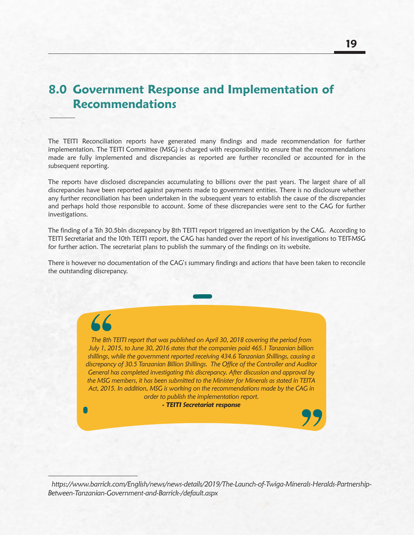# **8.0 Government Response and Implementation of Recommendations**

The TEITI Reconciliation reports have generated many findings and made recommendation for further implementation. The TEITI Committee (MSG) is charged with responsibility to ensure that the recommendations made are fully implemented and discrepancies as reported are further reconciled or accounted for in the subsequent reporting.

The reports have disclosed discrepancies accumulating to billions over the past years. The largest share of all discrepancies have been reported against payments made to government entities. There is no disclosure whether any further reconciliation has been undertaken in the subsequent years to establish the cause of the discrepancies and perhaps hold those responsible to account. Some of these discrepancies were sent to the CAG for further investigations.

The finding of a Tsh 30.5bln discrepancy by 8th TEITI report triggered an investigation by the CAG. According to TEITI Secretariat and the 10th TEITI report, the CAG has handed over the report of his investigations to TEIT-MSG for further action. The secretariat plans to publish the summary of the findings on its website.

There is however no documentation of the CAG's summary findings and actions that have been taken to reconcile the outstanding discrepancy.

*The 8th TEITI report that was published on April 30, 2018 covering the period from July 1, 2015, to June 30, 2016 states that the companies paid 465.1 Tanzanian billion shillings, while the government reported receiving 434.6 Tanzanian Shillings, causing a discrepancy of 30.5 Tanzanian Billion Shillings. The Office of the Controller and Auditor General has completed investigating this discrepancy. After discussion and approval by the MSG members, it has been submitted to the Minister for Minerals as stated in TEITA Act, 2015. In addition, MSG is working on the recommendations made by the CAG in order to publish the implementation report.*

*- TEITI Secretariat response*

 *https://www.barrick.com/English/news/news-details/2019/The-Launch-of-Twiga-Minerals-Heralds-Partnership-Between-Tanzanian-Government-and-Barrick-/default.aspx*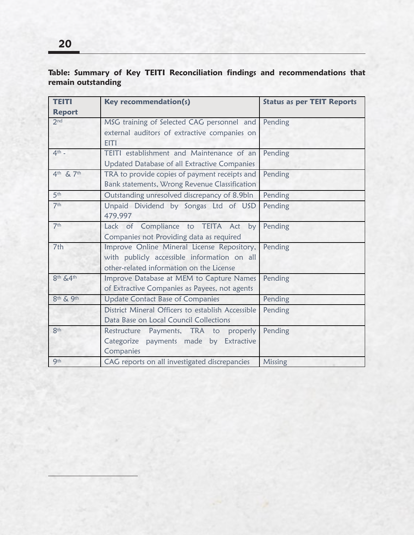#### **Table: Summary of Key TEITI Reconciliation findings and recommendations that remain outstanding**

| <b>TEITI</b>    | <b>Key recommendation(s)</b>                      | <b>Status as per TEIT Reports</b> |
|-----------------|---------------------------------------------------|-----------------------------------|
| <b>Report</b>   |                                                   |                                   |
| 2 <sub>nd</sub> | MSG training of Selected CAG personnel and        | Pending                           |
|                 | external auditors of extractive companies on      |                                   |
|                 | <b>EITI</b>                                       |                                   |
| $4th$ -         | <b>TEITI</b> establishment and Maintenance of an  | Pending                           |
|                 | Updated Database of all Extractive Companies      |                                   |
| 4th & 7th       | TRA to provide copies of payment receipts and     | Pending                           |
|                 | Bank statements, Wrong Revenue Classification     |                                   |
| 5 <sup>th</sup> | Outstanding unresolved discrepancy of 8.9bln      | Pending                           |
| 7 <sup>th</sup> | Unpaid Dividend by Songas Ltd of USD              | Pending                           |
|                 | 479,997                                           |                                   |
| 7 <sup>th</sup> | Lack of Compliance to TEITA Act by                | Pending                           |
|                 | Companies not Providing data as required          |                                   |
| 7th             | Improve Online Mineral License Repository,        | Pending                           |
|                 | with publicly accessible information on all       |                                   |
|                 | other-related information on the License          |                                   |
| 8th &4th        | Improve Database at MEM to Capture Names          | Pending                           |
|                 | of Extractive Companies as Payees, not agents     |                                   |
| 8th & 9th       | <b>Update Contact Base of Companies</b>           | Pending                           |
|                 | District Mineral Officers to establish Accessible | Pending                           |
|                 | Data Base on Local Council Collections            |                                   |
| 8 <sup>th</sup> | Restructure Payments, TRA to properly             | Pending                           |
|                 | Categorize payments made by Extractive            |                                   |
|                 | Companies                                         |                                   |
| <b>9th</b>      | CAG reports on all investigated discrepancies     | Missing                           |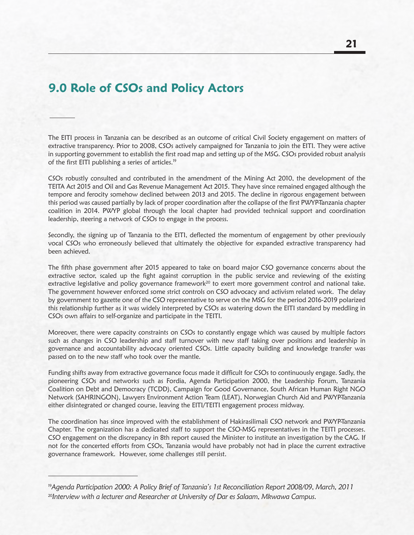# **9.0 Role of CSOs and Policy Actors**

The EITI process in Tanzania can be described as an outcome of critical Civil Society engagement on matters of extractive transparency. Prior to 2008, CSOs actively campaigned for Tanzania to join the EITI. They were active in supporting government to establish the first road map and setting up of the MSG. CSOs provided robust analysis of the first EITI publishing a series of articles.<sup>19</sup>

CSOs robustly consulted and contributed in the amendment of the Mining Act 2010, the development of the TEITA Act 2015 and Oil and Gas Revenue Management Act 2015. They have since remained engaged although the tempore and ferocity somehow declined between 2013 and 2015. The decline in rigorous engagement between this period was caused partially by lack of proper coordination after the collapse of the first PWYP-Tanzania chapter coalition in 2014. PWYP global through the local chapter had provided technical support and coordination leadership, steering a network of CSOs to engage in the process.

Secondly, the signing up of Tanzania to the EITI, deflected the momentum of engagement by other previously vocal CSOs who erroneously believed that ultimately the objective for expanded extractive transparency had been achieved.

The fifth phase government after 2015 appeared to take on board major CSO governance concerns about the extractive sector, scaled up the fight against corruption in the public service and reviewing of the existing extractive legislative and policy governance framework<sup>20</sup> to exert more government control and national take. The government however enforced some strict controls on CSO advocacy and activism related work. The delay by government to gazette one of the CSO representative to serve on the MSG for the period 2016-2019 polarized this relationship further as it was widely interpreted by CSOs as watering down the EITI standard by meddling in CSOs own affairs to self-organize and participate in the TEITI.

Moreover, there were capacity constraints on CSOs to constantly engage which was caused by multiple factors such as changes in CSO leadership and staff turnover with new staff taking over positions and leadership in governance and accountability advocacy oriented CSOs. Little capacity building and knowledge transfer was passed on to the new staff who took over the mantle.

Funding shifts away from extractive governance focus made it difficult for CSOs to continuously engage. Sadly, the pioneering CSOs and networks such as Fordia, Agenda Participation 2000, the Leadership Forum, Tanzania Coalition on Debt and Democracy (TCDD), Campaign for Good Governance, South African Human Right NGO Network (SAHRINGON), Lawyers Environment Action Team (LEAT), Norwegian Church Aid and PWYP-Tanzania either disintegrated or changed course, leaving the EITI/TEITI engagement process midway.

The coordination has since improved with the establishment of Hakirasilimali CSO network and PWYP-Tanzania Chapter. The organization has a dedicated staff to support the CSO-MSG representatives in the TEITI processes. CSO engagement on the discrepancy in 8th report caused the Minister to institute an investigation by the CAG. If not for the concerted efforts from CSOs, Tanzania would have probably not had in place the current extractive governance framework. However, some challenges still persist.

<sup>20</sup>*Interview with a lecturer and Researcher at University of Dar es Salaam, Mkwawa Campus.*  19*Agenda Participation 2000: A Policy Brief of Tanzania's 1st Reconciliation Report 2008/09, March, 2011*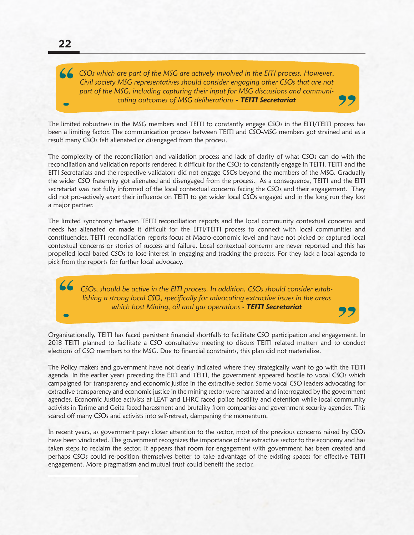*CSOs which are part of the MSG are actively involved in the EITI process. However, Civil society MSG representatives should consider engaging other CSOs that are not part of the MSG, including capturing their input for MSG discussions and communicating outcomes of MSG deliberations - TEITI Secretariat*

The limited robustness in the MSG members and TEITI to constantly engage CSOs in the EITI/TEITI process has been a limiting factor. The communication process between TEITI and CSO-MSG members got strained and as a result many CSOs felt alienated or disengaged from the process.

The complexity of the reconciliation and validation process and lack of clarity of what CSOs can do with the reconciliation and validation reports rendered it difficult for the CSOs to constantly engage in TEITI. TEITI and the EITI Secretariats and the respective validators did not engage CSOs beyond the members of the MSG. Gradually the wider CSO fraternity got alienated and disengaged from the process. As a consequence, TEITI and the EITI secretariat was not fully informed of the local contextual concerns facing the CSOs and their engagement. They did not pro-actively exert their influence on TEITI to get wider local CSOs engaged and in the long run they lost a major partner.

The limited synchrony between TEITI reconciliation reports and the local community contextual concerns and needs has alienated or made it difficult for the EITI/TEITI process to connect with local communities and constituencies. TEITI reconciliation reports focus at Macro-economic level and have not picked or captured local contextual concerns or stories of success and failure. Local contextual concerns are never reported and this has propelled local based CSOs to lose interest in engaging and tracking the process. For they lack a local agenda to pick from the reports for further local advocacy.

*CSOs, should be active in the EITI process. In addition, CSOs should consider establishing a strong local CSO, specifically for advocating extractive issues in the areas which host Mining, oil and gas operations - TEITI Secretariat*

Organisationally, TEITI has faced persistent financial shortfalls to facilitate CSO participation and engagement. In 2018 TEITI planned to facilitate a CSO consultative meeting to discuss TEITI related matters and to conduct elections of CSO members to the MSG. Due to financial constraints, this plan did not materialize.

The Policy makers and government have not clearly indicated where they strategically want to go with the TEITI agenda. In the earlier years preceding the EITI and TEITI, the government appeared hostile to vocal CSOs which campaigned for transparency and economic justice in the extractive sector. Some vocal CSO leaders advocating for extractive transparency and economic justice in the mining sector were harassed and interrogated by the government agencies. Economic Justice activists at LEAT and LHRC faced police hostility and detention while local community activists in Tarime and Geita faced harassment and brutality from companies and government security agencies. This scared off many CSOs and activists into self-retreat, dampening the momentum.

In recent years, as government pays closer attention to the sector, most of the previous concerns raised by CSOs have been vindicated. The government recognizes the importance of the extractive sector to the economy and has taken steps to reclaim the sector. It appears that room for engagement with government has been created and perhaps CSOs could re-position themselves better to take advantage of the existing spaces for effective TEITI engagement. More pragmatism and mutual trust could benefit the sector.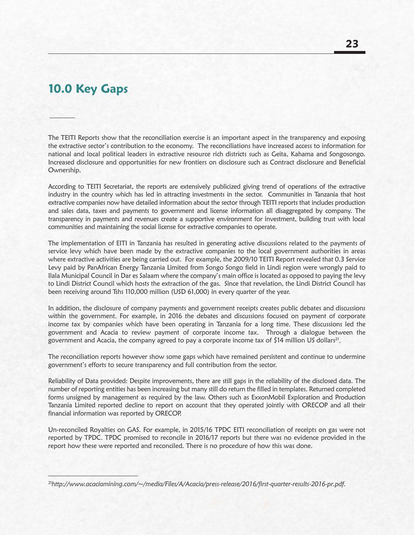### **10.0 Key Gaps**

The TEITI Reports show that the reconciliation exercise is an important aspect in the transparency and exposing the extractive sector's contribution to the economy. The reconciliations have increased access to information for national and local political leaders in extractive resource rich districts such as Geita, Kahama and Songosongo. Increased disclosure and opportunities for new frontiers on disclosure such as Contract disclosure and Beneficial Ownership.

According to TEITI Secretariat, the reports are extensively publicized giving trend of operations of the extractive industry in the country which has led in attracting investments in the sector. Communities in Tanzania that host extractive companies now have detailed information about the sector through TEITI reports that includes production and sales data, taxes and payments to government and license information all disaggregated by company. The transparency in payments and revenues create a supportive environment for investment, building trust with local communities and maintaining the social license for extractive companies to operate.

The implementation of EITI in Tanzania has resulted in generating active discussions related to the payments of service levy which have been made by the extractive companies to the local government authorities in areas where extractive activities are being carried out. For example, the 2009/10 TEITI Report revealed that 0.3 Service Levy paid by PanAfrican Energy Tanzania Limited from Songo Songo field in Lindi region were wrongly paid to Ilala Municipal Council in Dar es Salaam where the company's main office is located as opposed to paying the levy to Lindi District Council which hosts the extraction of the gas. Since that revelation, the Lindi District Council has been receiving around Tshs 110,000 million (USD 61,000) in every quarter of the year.

In addition, the disclosure of company payments and government receipts creates public debates and discussions within the government. For example, in 2016 the debates and discussions focused on payment of corporate income tax by companies which have been operating in Tanzania for a long time. These discussions led the government and Acacia to review payment of corporate income tax. Through a dialogue between the government and Acacia, the company agreed to pay a corporate income tax of \$14 million US dollars<sup>21</sup>.

The reconciliation reports however show some gaps which have remained persistent and continue to undermine government's efforts to secure transparency and full contribution from the sector.

Reliability of Data provided: Despite improvements, there are still gaps in the reliability of the disclosed data. The number of reporting entities has been increasing but many still do return the filled in templates. Returned completed forms unsigned by management as required by the law. Others such as ExxonMobil Exploration and Production Tanzania Limited reported decline to report on account that they operated jointly with ORECOP and all their financial information was reported by ORECOP.

Un-reconciled Royalties on GAS. For example, in 2015/16 TPDC EITI reconciliation of receipts on gas were not reported by TPDC. TPDC promised to reconcile in 2016/17 reports but there was no evidence provided in the report how these were reported and reconciled. There is no procedure of how this was done.

<sup>21</sup>*http://www.acaciamining.com/~/media/Files/A/Acacia/press-release/2016/first-quarter-results-2016-pr.pdf.*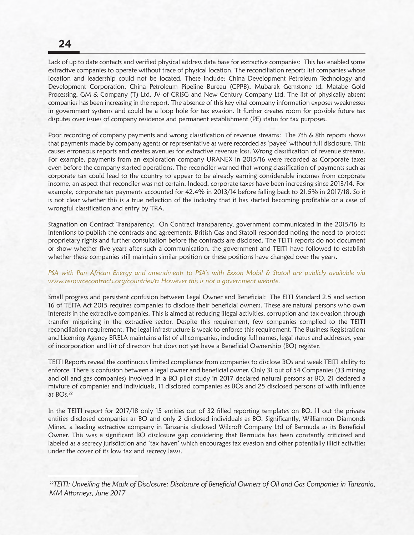### **24**

Lack of up to date contacts and verified physical address data base for extractive companies: This has enabled some extractive companies to operate without trace of physical location. The reconciliation reports list companies whose location and leadership could not be located. These include; China Development Petroleum Technology and Development Corporation, China Petroleum Pipeline Bureau (CPPB), Mubarak Gemstone td, Matabe Gold Processing, GM & Company (T) Ltd, JV of CRISG and New Century Company Ltd. The list of physically absent companies has been increasing in the report. The absence of this key vital company information exposes weaknesses in government systems and could be a loop hole for tax evasion. It further creates room for possible future tax disputes over issues of company residence and permanent establishment (PE) status for tax purposes.

Poor recording of company payments and wrong classification of revenue streams: The 7th & 8th reports shows that payments made by company agents or representative as were recorded as 'payee' without full disclosure. This causes erroneous reports and creates avenues for extractive revenue loss. Wrong classification of revenue streams. For example, payments from an exploration company URANEX in 2015/16 were recorded as Corporate taxes even before the company started operations. The reconciler warned that wrong classification of payments such as corporate tax could lead to the country to appear to be already earning considerable incomes from corporate income, an aspect that reconciler was not certain. Indeed, corporate taxes have been increasing since 2013/14. For example, corporate tax payments accounted for 42.4% in 2013/14 before falling back to 21.5% in 2017/18. So it is not clear whether this is a true reflection of the industry that it has started becoming profitable or a case of wrongful classification and entry by TRA.

Stagnation on Contract Transparency: On Contract transparency, government communicated in the 2015/16 its intentions to publish the contracts and agreements. British Gas and Statoil responded noting the need to protect proprietary rights and further consultation before the contracts are disclosed. The TEITI reports do not document or show whether five years after such a communication, the government and TEITI have followed to establish whether these companies still maintain similar position or these positions have changed over the years.

#### *PSA with Pan African Energy and amendments to PSA's with Exxon Mobil & Statoil are publicly available via www.resourcecontracts.org/countries/tz However this is not a government website.*

Small progress and persistent confusion between Legal Owner and Beneficial: The EITI Standard 2.5 and section 16 of TEITA Act 2015 requires companies to disclose their beneficial owners. These are natural persons who own interests in the extractive companies. This is aimed at reducing illegal activities, corruption and tax evasion through transfer mispricing in the extractive sector. Despite this requirement, few companies complied to the TEITI reconciliation requirement. The legal infrastructure is weak to enforce this requirement. The Business Registrations and Licensing Agency BRELA maintains a list of all companies, including full names, legal status and addresses, year of incorporation and list of directors but does not yet have a Beneficial Ownership (BO) register.

TEITI Reports reveal the continuous limited compliance from companies to disclose BOs and weak TEITI ability to enforce. There is confusion between a legal owner and beneficial owner. Only 31 out of 54 Companies (33 mining and oil and gas companies) involved in a BO pilot study in 2017 declared natural persons as BO. 21 declared a mixture of companies and individuals, 11 disclosed companies as BOs and 25 disclosed persons of with influence as BOs.22

In the TEITI report for 2017/18 only 15 entities out of 32 filled reporting templates on BO. 11 out the private entities disclosed companies as BO and only 2 disclosed individuals as BO. Significantly, Williamson Diamonds Mines, a leading extractive company in Tanzania disclosed Wilcroft Company Ltd of Bermuda as its Beneficial Owner. This was a significant BO disclosure gap considering that Bermuda has been constantly criticized and labeled as a secrecy jurisdiction and 'tax haven' which encourages tax evasion and other potentially illicit activities under the cover of its low tax and secrecy laws.

<sup>22</sup>*TEITI: Unveiling the Mask of Disclosure: Disclosure of Beneficial Owners of Oil and Gas Companies in Tanzania, MM Attorneys, June 2017*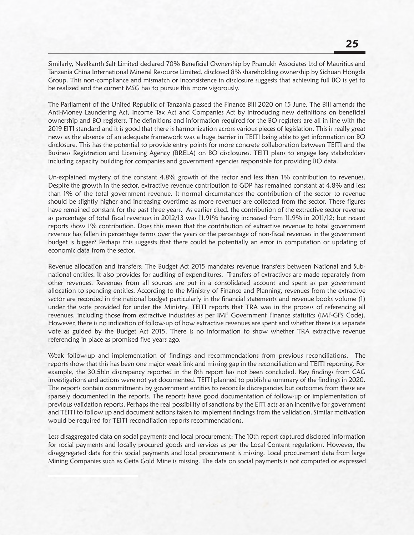Similarly, Neelkanth Salt Limited declared 70% Beneficial Ownership by Pramukh Associates Ltd of Mauritius and Tanzania China International Mineral Resource Limited, disclosed 8% shareholding ownership by Sichuan Hongda Group. This non-compliance and mismatch or inconsistence in disclosure suggests that achieving full BO is yet to be realized and the current MSG has to pursue this more vigorously.

The Parliament of the United Republic of Tanzania passed the Finance Bill 2020 on 15 June. The Bill amends the Anti-Money Laundering Act, Income Tax Act and Companies Act by introducing new definitions on beneficial ownership and BO registers. The definitions and information required for the BO registers are all in line with the 2019 EITI standard and it is good that there is harmonization across various pieces of legislation. This is really great news as the absence of an adequate framework was a huge barrier in TEITI being able to get information on BO disclosure. This has the potential to provide entry points for more concrete collaboration between TEITI and the Business Registration and Licensing Agency (BRELA) on BO disclosures. TEITI plans to engage key stakeholders including capacity building for companies and government agencies responsible for providing BO data.

Un-explained mystery of the constant 4.8% growth of the sector and less than 1% contribution to revenues. Despite the growth in the sector, extractive revenue contribution to GDP has remained constant at 4.8% and less than 1% of the total government revenue. It normal circumstances the contribution of the sector to revenue should be slightly higher and increasing overtime as more revenues are collected from the sector. These figures have remained constant for the past three years. As earlier cited, the contribution of the extractive sector revenue as percentage of total fiscal revenues in 2012/13 was 11.91% having increased from 11.9% in 2011/12; but recent reports show 1% contribution. Does this mean that the contribution of extractive revenue to total government revenue has fallen in percentage terms over the years or the percentage of non-fiscal revenues in the government budget is bigger? Perhaps this suggests that there could be potentially an error in computation or updating of economic data from the sector.

Revenue allocation and transfers: The Budget Act 2015 mandates revenue transfers between National and Subnational entities. It also provides for auditing of expenditures. Transfers of extractives are made separately from other revenues. Revenues from all sources are put in a consolidated account and spent as per government allocation to spending entities. According to the Ministry of Finance and Planning, revenues from the extractive sector are recorded in the national budget particularly in the financial statements and revenue books volume (1) under the vote provided for under the Ministry. TEITI reports that TRA was in the process of referencing all revenues, including those from extractive industries as per IMF Government Finance statistics (IMF-GFS Code). However, there is no indication of follow-up of how extractive revenues are spent and whether there is a separate vote as guided by the Budget Act 2015. There is no information to show whether TRA extractive revenue referencing in place as promised five years ago.

Weak follow-up and implementation of findings and recommendations from previous reconciliations. The reports show that this has been one major weak link and missing gap in the reconciliation and TEITI reporting. For example, the 30.5bln discrepancy reported in the 8th report has not been concluded. Key findings from CAG investigations and actions were not yet documented. TEITI planned to publish a summary of the findings in 2020. The reports contain commitments by government entities to reconcile discrepancies but outcomes from these are sparsely documented in the reports. The reports have good documentation of follow-up or implementation of previous validation reports. Perhaps the real possibility of sanctions by the EITI acts as an incentive for government and TEITI to follow up and document actions taken to implement findings from the validation. Similar motivation would be required for TEITI reconciliation reports recommendations.

Less disaggregated data on social payments and local procurement: The 10th report captured disclosed information for social payments and locally procured goods and services as per the Local Content regulations. However, the disaggregated data for this social payments and local procurement is missing. Local procurement data from large Mining Companies such as Geita Gold Mine is missing. The data on social payments is not computed or expressed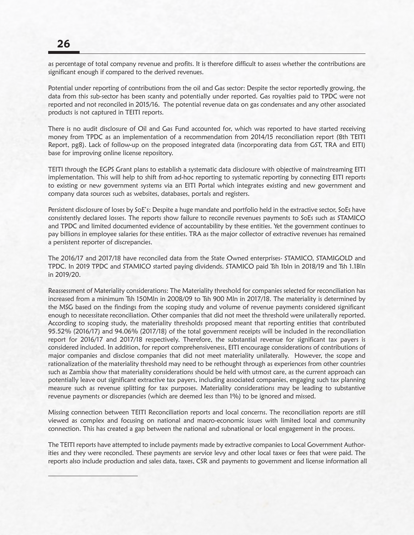as percentage of total company revenue and profits. It is therefore difficult to assess whether the contributions are significant enough if compared to the derived revenues.

Potential under reporting of contributions from the oil and Gas sector: Despite the sector reportedly growing, the data from this sub-sector has been scanty and potentially under reported. Gas royalties paid to TPDC were not reported and not reconciled in 2015/16. The potential revenue data on gas condensates and any other associated products is not captured in TEITI reports.

There is no audit disclosure of Oil and Gas Fund accounted for, which was reported to have started receiving money from TPDC as an implementation of a recommendation from 2014/15 reconciliation report (8th TEITI Report, pg8). Lack of follow-up on the proposed integrated data (incorporating data from GST, TRA and EITI) base for improving online license repository.

TEITI through the EGPS Grant plans to establish a systematic data disclosure with objective of mainstreaming EITI implementation. This will help to shift from ad-hoc reporting to systematic reporting by connecting EITI reports to existing or new government systems via an EITI Portal which integrates existing and new government and company data sources such as websites, databases, portals and registers.

Persistent disclosure of loses by SoE's: Despite a huge mandate and portfolio held in the extractive sector, SoEs have consistently declared losses. The reports show failure to reconcile revenues payments to SoEs such as STAMICO and TPDC and limited documented evidence of accountability by these entities. Yet the government continues to pay billions in employee salaries for these entities. TRA as the major collector of extractive revenues has remained a persistent reporter of discrepancies.

The 2016/17 and 2017/18 have reconciled data from the State Owned enterprises- STAMICO, STAMIGOLD and TPDC. In 2019 TPDC and STAMICO started paying dividends. STAMICO paid Tsh 1bln in 2018/19 and Tsh 1.1Bln in 2019/20.

Reassessment of Materiality considerations: The Materiality threshold for companies selected for reconciliation has increased from a minimum Tsh 150Mln in 2008/09 to Tsh 900 Mln in 2017/18. The materiality is determined by the MSG based on the findings from the scoping study and volume of revenue payments considered significant enough to necessitate reconciliation. Other companies that did not meet the threshold were unilaterally reported. According to scoping study, the materiality thresholds proposed meant that reporting entities that contributed 95.52% (2016/17) and 94.06% (2017/18) of the total government receipts will be included in the reconciliation report for 2016/17 and 2017/18 respectively. Therefore, the substantial revenue for significant tax payers is considered included. In addition, for report comprehensiveness, EITI encourage considerations of contributions of major companies and disclose companies that did not meet materiality unilaterally. However, the scope and rationalization of the materiality threshold may need to be rethought through as experiences from other countries such as Zambia show that materiality considerations should be held with utmost care, as the current approach can potentially leave out significant extractive tax payers, including associated companies, engaging such tax planning measure such as revenue splitting for tax purposes. Materiality considerations may be leading to substantive revenue payments or discrepancies (which are deemed less than 1%) to be ignored and missed.

Missing connection between TEITI Reconciliation reports and local concerns. The reconciliation reports are still viewed as complex and focusing on national and macro-economic issues with limited local and community connection. This has created a gap between the national and subnational or local engagement in the process.

The TEITI reports have attempted to include payments made by extractive companies to Local Government Authorities and they were reconciled. These payments are service levy and other local taxes or fees that were paid. The reports also include production and sales data, taxes, CSR and payments to government and license information all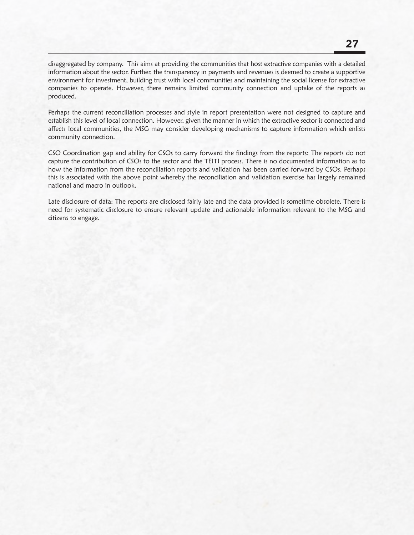disaggregated by company. This aims at providing the communities that host extractive companies with a detailed information about the sector. Further, the transparency in payments and revenues is deemed to create a supportive environment for investment, building trust with local communities and maintaining the social license for extractive companies to operate. However, there remains limited community connection and uptake of the reports as produced.

Perhaps the current reconciliation processes and style in report presentation were not designed to capture and establish this level of local connection. However, given the manner in which the extractive sector is connected and affects local communities, the MSG may consider developing mechanisms to capture information which enlists community connection.

CSO Coordination gap and ability for CSOs to carry forward the findings from the reports: The reports do not capture the contribution of CSOs to the sector and the TEITI process. There is no documented information as to how the information from the reconciliation reports and validation has been carried forward by CSOs. Perhaps this is associated with the above point whereby the reconciliation and validation exercise has largely remained national and macro in outlook.

Late disclosure of data: The reports are disclosed fairly late and the data provided is sometime obsolete. There is need for systematic disclosure to ensure relevant update and actionable information relevant to the MSG and citizens to engage.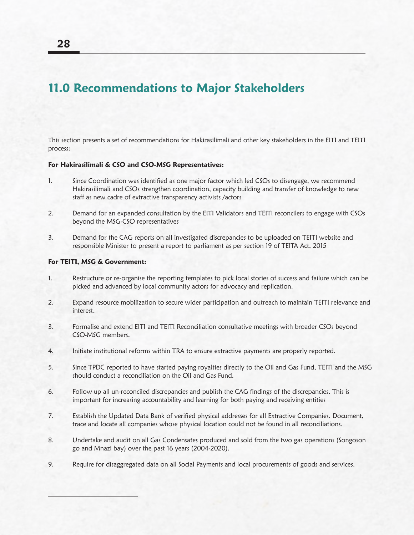# **11.0 Recommendations to Major Stakeholders**

This section presents a set of recommendations for Hakirasilimali and other key stakeholders in the EITI and TEITI process:

#### **For Hakirasilimali & CSO and CSO-MSG Representatives:**

- 1. Since Coordination was identified as one major factor which led CSOs to disengage, we recommend Hakirasilimali and CSOs strengthen coordination, capacity building and transfer of knowledge to new staff as new cadre of extractive transparency activists /actors
- 2. Demand for an expanded consultation by the EITI Validators and TEITI reconcilers to engage with CSOs beyond the MSG-CSO representatives
- 3. Demand for the CAG reports on all investigated discrepancies to be uploaded on TEITI website and responsible Minister to present a report to parliament as per section 19 of TEITA Act, 2015

#### **For TEITI, MSG & Government:**

- 1. Restructure or re-organise the reporting templates to pick local stories of success and failure which can be picked and advanced by local community actors for advocacy and replication.
- 2. Expand resource mobilization to secure wider participation and outreach to maintain TEITI relevance and interest.
- 3. Formalise and extend EITI and TEITI Reconciliation consultative meetings with broader CSOs beyond CSO-MSG members.
- 4. Initiate institutional reforms within TRA to ensure extractive payments are properly reported.
- 5. Since TPDC reported to have started paying royalties directly to the Oil and Gas Fund, TEITI and the MSG should conduct a reconciliation on the Oil and Gas Fund.
- 6. Follow up all un-reconciled discrepancies and publish the CAG findings of the discrepancies. This is important for increasing accountability and learning for both paying and receiving entities
- 7. Establish the Updated Data Bank of verified physical addresses for all Extractive Companies. Document, trace and locate all companies whose physical location could not be found in all reconciliations.
- 8. Undertake and audit on all Gas Condensates produced and sold from the two gas operations (Songoson go and Mnazi bay) over the past 16 years (2004-2020).
- 9. Require for disaggregated data on all Social Payments and local procurements of goods and services.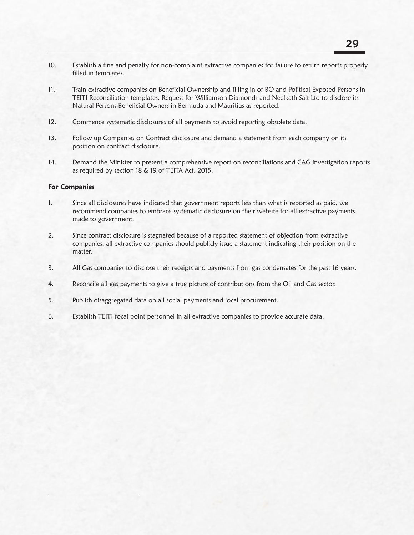- 10. Establish a fine and penalty for non-complaint extractive companies for failure to return reports properly filled in templates.
- 11. Train extractive companies on Beneficial Ownership and filling in of BO and Political Exposed Persons in TEITI Reconciliation templates. Request for Williamson Diamonds and Neelkath Salt Ltd to disclose its Natural Persons-Beneficial Owners in Bermuda and Mauritius as reported.
- 12. Commence systematic disclosures of all payments to avoid reporting obsolete data.
- 13. Follow up Companies on Contract disclosure and demand a statement from each company on its position on contract disclosure.
- 14. Demand the Minister to present a comprehensive report on reconciliations and CAG investigation reports as required by section 18 & 19 of TEITA Act, 2015.

#### **For Companies**

- 1. Since all disclosures have indicated that government reports less than what is reported as paid, we recommend companies to embrace systematic disclosure on their website for all extractive payments made to government.
- 2. Since contract disclosure is stagnated because of a reported statement of objection from extractive companies, all extractive companies should publicly issue a statement indicating their position on the matter.
- 3. All Gas companies to disclose their receipts and payments from gas condensates for the past 16 years.
- 4. Reconcile all gas payments to give a true picture of contributions from the Oil and Gas sector.
- 5. Publish disaggregated data on all social payments and local procurement.
- 6. Establish TEITI focal point personnel in all extractive companies to provide accurate data.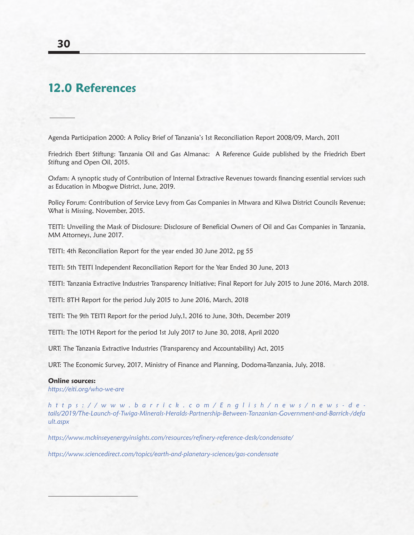### **12.0 References**

Agenda Participation 2000: A Policy Brief of Tanzania's 1st Reconciliation Report 2008/09, March, 2011

Friedrich Ebert Stiftung: Tanzania Oil and Gas Almanac: A Reference Guide published by the Friedrich Ebert Stiftung and Open Oil, 2015.

Oxfam: A synoptic study of Contribution of Internal Extractive Revenues towards financing essential services such as Education in Mbogwe District, June, 2019.

Policy Forum: Contribution of Service Levy from Gas Companies in Mtwara and Kilwa District Councils Revenue; What is Missing, November, 2015.

TEITI: Unveiling the Mask of Disclosure: Disclosure of Beneficial Owners of Oil and Gas Companies in Tanzania, MM Attorneys, June 2017.

TEITI: 4th Reconciliation Report for the year ended 30 June 2012, pg 55

TEITI: 5th TEITI Independent Reconciliation Report for the Year Ended 30 June, 2013

TEITI: Tanzania Extractive Industries Transparency Initiative; Final Report for July 2015 to June 2016, March 2018.

TEITI: 8TH Report for the period July 2015 to June 2016, March, 2018

TEITI: The 9th TEITI Report for the period July,1, 2016 to June, 30th, December 2019

TEITI: The 10TH Report for the period 1st July 2017 to June 30, 2018, April 2020

URT: The Tanzania Extractive Industries (Transparency and Accountability) Act, 2015

URT: The Economic Survey, 2017, Ministry of Finance and Planning, Dodoma-Tanzania, July, 2018.

#### **Online sources:**

*https://eiti.org/who-we-are*

*https://www.barrick.com/English/news/news-de tails/2019/The-Launch-of-Twiga-Minerals-Heralds-Partnership-Between-Tanzanian-Government-and-Barrick-/defa ult.aspx*

*https://www.mckinseyenergyinsights.com/resources/refinery-reference-desk/condensate/*

*https://www.sciencedirect.com/topics/earth-and-planetary-sciences/gas-condensate*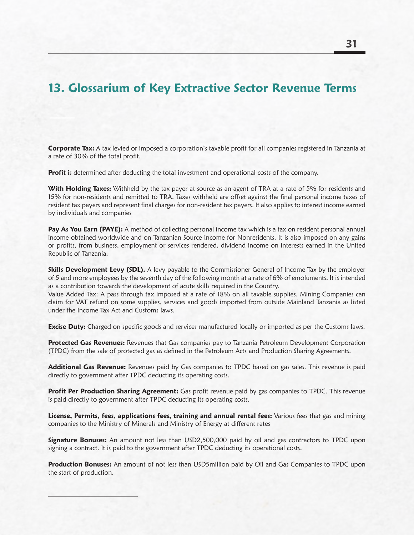# **13. Glossarium of Key Extractive Sector Revenue Terms**

**Corporate Tax:** A tax levied or imposed a corporation's taxable profit for all companies registered in Tanzania at a rate of 30% of the total profit.

**Profit** is determined after deducting the total investment and operational costs of the company.

**With Holding Taxes:** Withheld by the tax payer at source as an agent of TRA at a rate of 5% for residents and 15% for non-residents and remitted to TRA. Taxes withheld are offset against the final personal income taxes of resident tax payers and represent final charges for non-resident tax payers. It also applies to interest income earned by individuals and companies

Pay As You Earn (PAYE): A method of collecting personal income tax which is a tax on resident personal annual income obtained worldwide and on Tanzanian Source Income for Nonresidents. It is also imposed on any gains or profits, from business, employment or services rendered, dividend income on interests earned in the United Republic of Tanzania.

**Skills Development Levy (SDL).** A levy payable to the Commissioner General of Income Tax by the employer of 5 and more employees by the seventh day of the following month at a rate of 6% of emoluments. It is intended as a contribution towards the development of acute skills required in the Country.

Value Added Tax: A pass through tax imposed at a rate of 18% on all taxable supplies. Mining Companies can claim for VAT refund on some supplies, services and goods imported from outside Mainland Tanzania as listed under the Income Tax Act and Customs laws.

**Excise Duty:** Charged on specific goods and services manufactured locally or imported as per the Customs laws.

**Protected Gas Revenues:** Revenues that Gas companies pay to Tanzania Petroleum Development Corporation (TPDC) from the sale of protected gas as defined in the Petroleum Acts and Production Sharing Agreements.

**Additional Gas Revenue:** Revenues paid by Gas companies to TPDC based on gas sales. This revenue is paid directly to government after TPDC deducting its operating costs.

**Profit Per Production Sharing Agreement:** Gas profit revenue paid by gas companies to TPDC. This revenue is paid directly to government after TPDC deducting its operating costs.

**License, Permits, fees, applications fees, training and annual rental fees:** Various fees that gas and mining companies to the Ministry of Minerals and Ministry of Energy at different rates

**Signature Bonuses:** An amount not less than USD2,500,000 paid by oil and gas contractors to TPDC upon signing a contract. It is paid to the government after TPDC deducting its operational costs.

**Production Bonuses:** An amount of not less than USD5million paid by Oil and Gas Companies to TPDC upon the start of production.